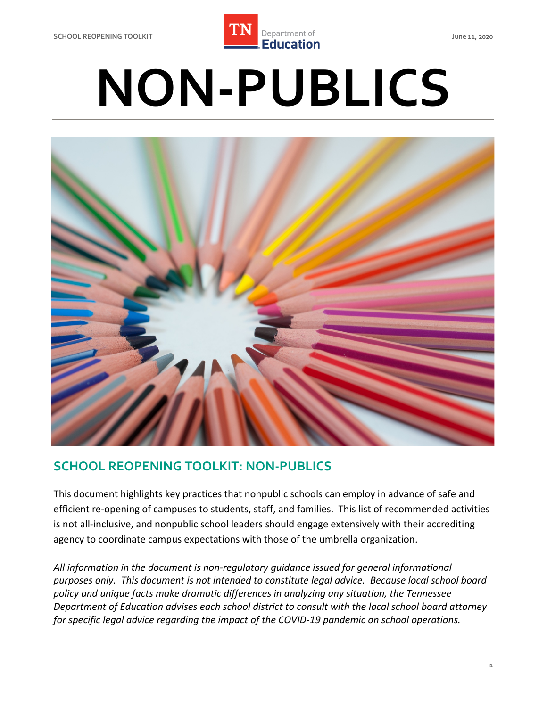

# **NON-PUBLICS**



### **SCHOOL REOPENING TOOLKIT: NON-PUBLICS**

 This document highlights key practices that nonpublic schools can employ in advance of safe and efficient re-opening of campuses to students, staff, and families. This list of recommended activities is not all-inclusive, and nonpublic school leaders should engage extensively with their accrediting agency to coordinate campus expectations with those of the umbrella organization.

 *All information in the document is non-regulatory guidance issued for general informational purposes only. This document is not intended to constitute legal advice. Because local school board policy and unique facts make dramatic differences in analyzing any situation, the Tennessee Department of Education advises each school district to consult with the local school board attorney for specific legal advice regarding the impact of the COVID-19 pandemic on school operations.*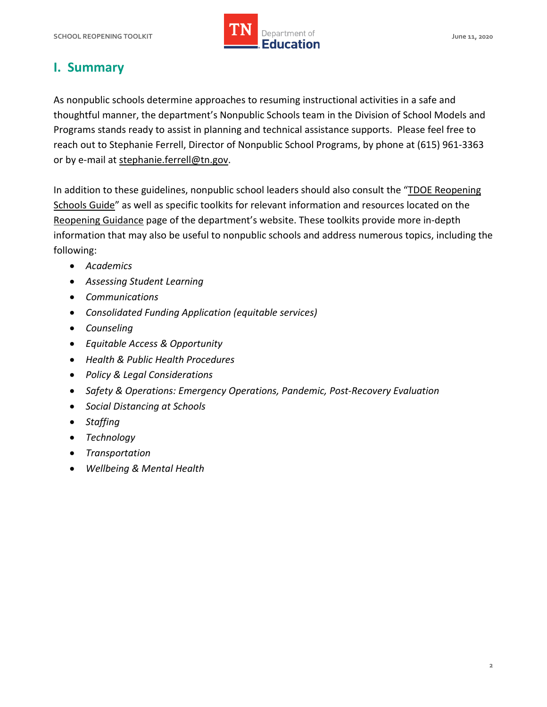

# **I. Summary**

 As nonpublic schools determine approaches to resuming instructional activities in a safe and thoughtful manner, the department's Nonpublic Schools team in the Division of School Models and Programs stands ready to assist in planning and technical assistance supports. Please feel free to reach out to Stephanie Ferrell, Director of Nonpublic School Programs, by phone at (615) 961-3363 or by e-mail at [stephanie.ferrell@tn.gov.](mailto:stephanie.ferrell@tn.gov)

In addition to these guidelines, nonpublic school leaders should also consult the "TDOE Reopening [Schools Guide"](https://www.tn.gov/content/dam/tn/education/health-&-safety/Reopening%20Schools%20-%20Overview%20Guide%20for%20LEAs.pdf) as well as specific toolkits for relevant information and resources located on the [Reopening Guidance](https://www.tn.gov/education/health-and-safety/update-on-coronavirus/reopening-guidance.html) page of the department's website. These toolkits provide more in-depth information that may also be useful to nonpublic schools and address numerous topics, including the following:

- *Academics*
- *Assessing Student Learning*
- *Communications*
- *Consolidated Funding Application (equitable services)*
- *Counseling*
- *Equitable Access & Opportunity*
- *Health & Public Health Procedures*
- *Policy & Legal Considerations*
- *Safety & Operations: Emergency Operations, Pandemic, Post-Recovery Evaluation*
- *Social Distancing at Schools*
- *Staffing*
- *Technology*
- *Transportation*
- *Wellbeing & Mental Health*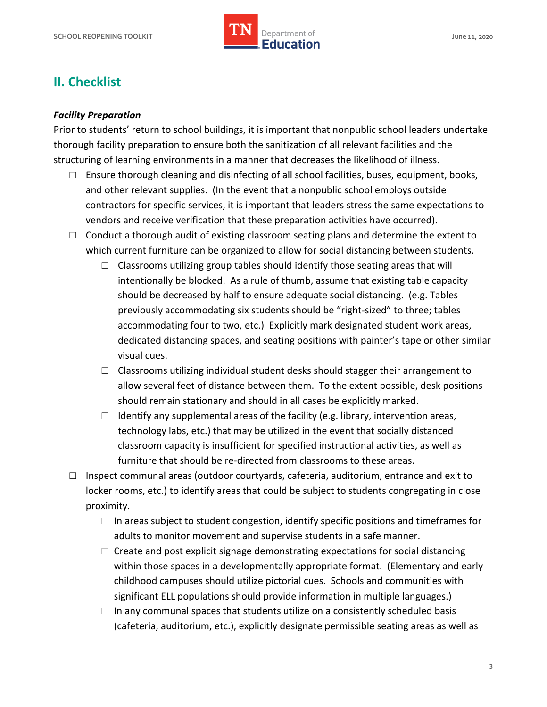

## **II. Checklist**

#### *Facility Preparation*

 Prior to students' return to school buildings, it is important that nonpublic school leaders undertake thorough facility preparation to ensure both the sanitization of all relevant facilities and the structuring of learning environments in a manner that decreases the likelihood of illness.

- contractors for specific services, it is important that leaders stress the same expectations to □ Ensure thorough cleaning and disinfecting of all school facilities, buses, equipment, books, and other relevant supplies. (In the event that a nonpublic school employs outside vendors and receive verification that these preparation activities have occurred).
- $\Box$  Conduct a thorough audit of existing classroom seating plans and determine the extent to which current furniture can be organized to allow for social distancing between students.
	- intentionally be blocked. As a rule of thumb, assume that existing table capacity should be decreased by half to ensure adequate social distancing. (e.g. Tables previously accommodating six students should be "right-sized" to three; tables accommodating four to two, etc.) Explicitly mark designated student work areas, dedicated distancing spaces, and seating positions with painter's tape or other similar  $\Box$  Classrooms utilizing group tables should identify those seating areas that will visual cues.
	- allow several feet of distance between them. To the extent possible, desk positions  $\Box$  Classrooms utilizing individual student desks should stagger their arrangement to should remain stationary and should in all cases be explicitly marked.
	- $\Box$  Identify any supplemental areas of the facility (e.g. library, intervention areas, technology labs, etc.) that may be utilized in the event that socially distanced classroom capacity is insufficient for specified instructional activities, as well as furniture that should be re-directed from classrooms to these areas.
- $\square$  Inspect communal areas (outdoor courtyards, cafeteria, auditorium, entrance and exit to proximity. locker rooms, etc.) to identify areas that could be subject to students congregating in close
	- $\square$  In areas subject to student congestion, identify specific positions and timeframes for adults to monitor movement and supervise students in a safe manner.
	- $\Box$  Create and post explicit signage demonstrating expectations for social distancing within those spaces in a developmentally appropriate format. (Elementary and early childhood campuses should utilize pictorial cues. Schools and communities with significant ELL populations should provide information in multiple languages.)
	- (cafeteria, auditorium, etc.), explicitly designate permissible seating areas as well as  $\square$  In any communal spaces that students utilize on a consistently scheduled basis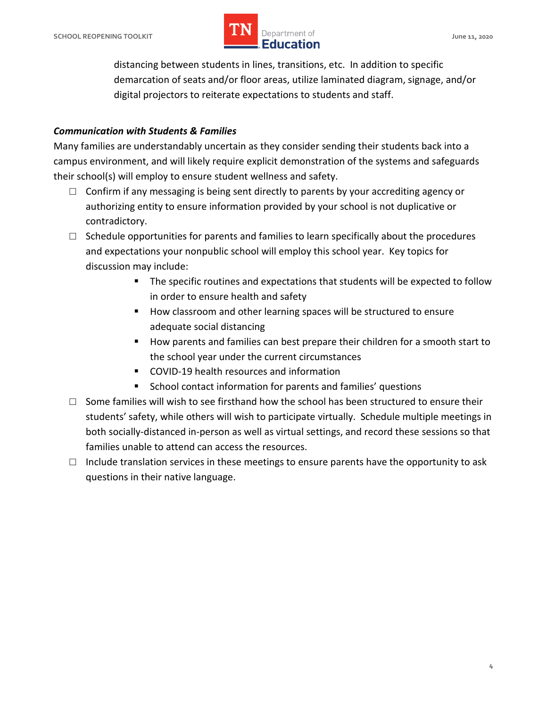#### **SCHOOL REOPENING TOOLKIT SCHOOL ASSESSED ASSESSED AT A PROPERTY OF A SERVICE OF A SERVICE OF A SCHOOL AND A June 11, 2020** *LIN* Department of **IMPLE Department of**

 distancing between students in lines, transitions, etc. In addition to specific demarcation of seats and/or floor areas, utilize laminated diagram, signage, and/or digital projectors to reiterate expectations to students and staff.

#### *Communication with Students & Families*

 Many families are understandably uncertain as they consider sending their students back into a campus environment, and will likely require explicit demonstration of the systems and safeguards their school(s) will employ to ensure student wellness and safety.

- $\Box$  Confirm if any messaging is being sent directly to parents by your accrediting agency or authorizing entity to ensure information provided by your school is not duplicative or contradictory.
- and expectations your nonpublic school will employ this school year. Key topics for  $\Box$  Schedule opportunities for parents and families to learn specifically about the procedures discussion may include:
	- The specific routines and expectations that students will be expected to follow in order to ensure health and safety
	- How classroom and other learning spaces will be structured to ensure adequate social distancing
	- **How parents and families can best prepare their children for a smooth start to** the school year under the current circumstances
	- COVID-19 health resources and information
	- **EXECT** School contact information for parents and families' questions
- $\square$  Some families will wish to see firsthand how the school has been structured to ensure their both socially-distanced in-person as well as virtual settings, and record these sessions so that families unable to attend can access the resources. students' safety, while others will wish to participate virtually. Schedule multiple meetings in
- $\square$  Include translation services in these meetings to ensure parents have the opportunity to ask questions in their native language.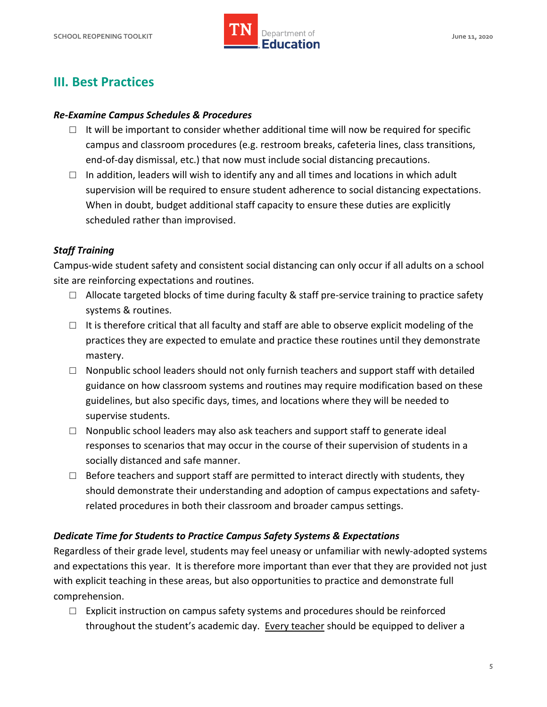

# **III. Best Practices**

#### *Re-Examine Campus Schedules & Procedures*

- $\square$  It will be important to consider whether additional time will now be required for specific campus and classroom procedures (e.g. restroom breaks, cafeteria lines, class transitions, end-of-day dismissal, etc.) that now must include social distancing precautions.
- $\Box$  In addition, leaders will wish to identify any and all times and locations in which adult supervision will be required to ensure student adherence to social distancing expectations.<br>When in doubt, budget additional staff capacity to ensure these duties are explicitly When in doubt, budget additional staff capacity to ensure these duties are explicitly scheduled rather than improvised.

#### *Staff Training*

 Campus-wide student safety and consistent social distancing can only occur if all adults on a school site are reinforcing expectations and routines.

- $\square$  Allocate targeted blocks of time during faculty & staff pre-service training to practice safety systems & routines.
- $\square$  It is therefore critical that all faculty and staff are able to observe explicit modeling of the practices they are expected to emulate and practice these routines until they demonstrate mastery.
- guidelines, but also specific days, times, and locations where they will be needed to  $\Box$  Nonpublic school leaders should not only furnish teachers and support staff with detailed guidance on how classroom systems and routines may require modification based on these supervise students.
- □ Nonpublic school leaders may also ask teachers and support staff to generate ideal responses to scenarios that may occur in the course of their supervision of students in a socially distanced and safe manner.
- $\Box$  Before teachers and support staff are permitted to interact directly with students, they related procedures in both their classroom and broader campus settings. should demonstrate their understanding and adoption of campus expectations and safety-

#### *Dedicate Time for Students to Practice Campus Safety Systems & Expectations*

 Regardless of their grade level, students may feel uneasy or unfamiliar with newly-adopted systems and expectations this year. It is therefore more important than ever that they are provided not just with explicit teaching in these areas, but also opportunities to practice and demonstrate full comprehension.

throughout the student's academic day. Every teacher should be equipped to deliver a  $\Box$  Explicit instruction on campus safety systems and procedures should be reinforced